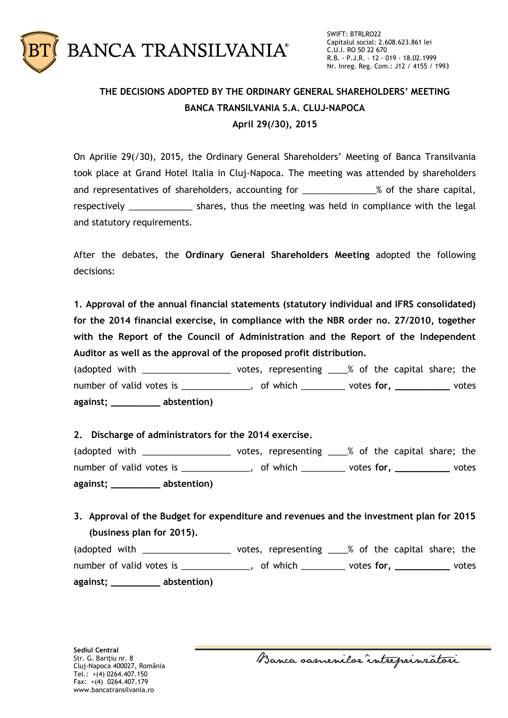

## **THE DECISIONS ADOPTED BY THE ORDINARY GENERAL SHAREHOLDERS' MEETING BANCA TRANSILVANIA S.A. CLUJ-NAPOCA April 29(/30), 2015**

On Aprilie 29(/30), 2015, the Ordinary General Shareholders' Meeting of Banca Transilvania took place at Grand Hotel Italia in Cluj-Napoca. The meeting was attended by shareholders and representatives of shareholders, accounting for \_\_\_\_\_\_\_\_\_\_\_\_\_\_% of the share capital, respectively \_\_\_\_\_\_\_\_\_\_\_\_\_\_\_ shares, thus the meeting was held in compliance with the legal and statutory requirements.

After the debates, the **Ordinary General Shareholders Meeting** adopted the following decisions:

**1. Approval of the annual financial statements (statutory individual and IFRS consolidated) for the 2014 financial exercise, in compliance with the NBR order no. 27/2010, together with the Report of the Council of Administration and the Report of the Independent Auditor as well as the approval of the proposed profit distribution.**

(adopted with \_\_\_\_\_\_\_\_\_\_\_\_\_\_\_\_\_\_\_\_\_\_ votes, representing \_\_\_\_% of the capital share; the number of valid votes is \_\_\_\_\_\_\_\_\_\_\_\_\_\_, of which \_\_\_\_\_\_\_\_\_ votes **for, \_\_\_\_\_\_\_\_\_\_** votes **against; \_\_\_\_\_\_\_\_\_ abstention)**

## **2. Discharge of administrators for the 2014 exercise.**

(adopted with \_\_\_\_\_\_\_\_\_\_\_\_\_\_\_\_\_\_ votes, representing \_\_\_\_% of the capital share; the number of valid votes is \_\_\_\_\_\_\_\_\_\_\_\_\_\_, of which \_\_\_\_\_\_\_\_\_ votes **for, \_\_\_\_\_\_\_\_\_\_** votes **against; \_\_\_\_\_\_\_\_\_ abstention)**

## **3. Approval of the Budget for expenditure and revenues and the investment plan for 2015 (business plan for 2015).**

| (adopted with            | votes, representing ____% of the capital share; the |            |       |
|--------------------------|-----------------------------------------------------|------------|-------|
| number of valid votes is | , of which                                          | votes for, | votes |
| abstention)<br>against;  |                                                     |            |       |

Banca samenilor intreprinzatori